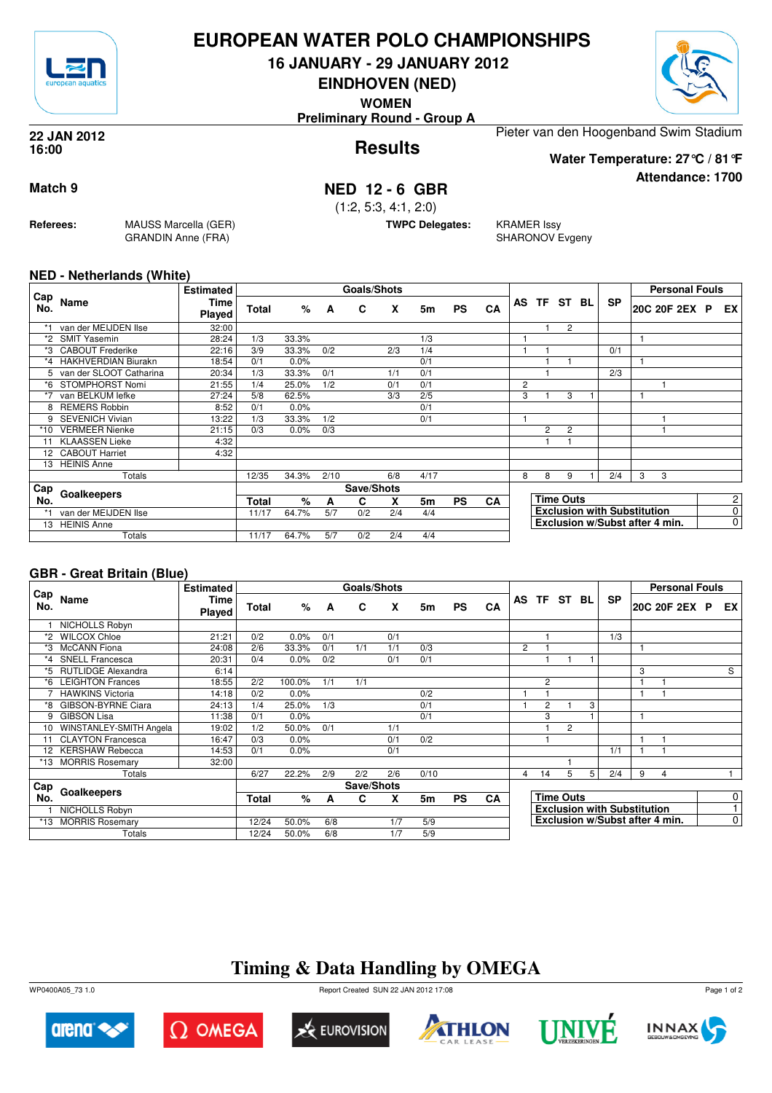

## **EUROPEAN WATER POLO CHAMPIONSHIPS**

**16 JANUARY - 29 JANUARY 2012**

**EINDHOVEN (NED) WOMEN**



**Attendance: 1700**

**Results 22 JAN 2012 16:00**

**Preliminary Round - Group A**

Pieter van den Hoogenband Swim Stadium **Water Temperature: 27°C / 81°F**

## **Match 9 NED 12 - 6 GBR**

(1:2, 5:3, 4:1, 2:0)

**TWPC Delegates:** KRAMER Issy

SHARONOV Evgeny

#### **NED - Netherlands (White)**

**Referees:** MAUSS Marcella (GER)

GRANDIN Anne (FRA)

| Cap  |                            | <b>Estimated</b> |       |       |      | <b>Goals/Shots</b> |     |      |           |           |                |                  |                |     |           |                                    | <b>Personal Fouls</b> |  |                |
|------|----------------------------|------------------|-------|-------|------|--------------------|-----|------|-----------|-----------|----------------|------------------|----------------|-----|-----------|------------------------------------|-----------------------|--|----------------|
| No.  | Name                       | Time<br>Played   | Total | %     | A    | C                  | X   | 5m   | <b>PS</b> | CA        | AS             |                  | TF ST          | BL. | <b>SP</b> |                                    | 20C 20F 2EX P         |  | EX.            |
| *1   | van der MEIJDEN Ilse       | 32:00            |       |       |      |                    |     |      |           |           |                | 1                | $\overline{2}$ |     |           |                                    |                       |  |                |
| *2   | <b>SMIT Yasemin</b>        | 28:24            | 1/3   | 33.3% |      |                    |     | 1/3  |           |           |                |                  |                |     |           |                                    |                       |  |                |
| *3   | <b>CABOUT Frederike</b>    | 22:16            | 3/9   | 33.3% | 0/2  |                    | 2/3 | 1/4  |           |           |                |                  |                |     | 0/1       |                                    |                       |  |                |
| *4   | <b>HAKHVERDIAN Biurakn</b> | 18:54            | 0/1   | 0.0%  |      |                    |     | 0/1  |           |           |                |                  |                |     |           |                                    |                       |  |                |
|      | 5 van der SLOOT Catharina  | 20:34            | 1/3   | 33.3% | 0/1  |                    | 1/1 | 0/1  |           |           |                |                  |                |     | 2/3       |                                    |                       |  |                |
| *6   | STOMPHORST Nomi            | 21:55            | 1/4   | 25.0% | 1/2  |                    | 0/1 | 0/1  |           |           | $\overline{2}$ |                  |                |     |           |                                    |                       |  |                |
| $*7$ | van BELKUM lefke           | 27:24            | 5/8   | 62.5% |      |                    | 3/3 | 2/5  |           |           | 3              |                  | 3              |     |           |                                    |                       |  |                |
| 8    | <b>REMERS Robbin</b>       | 8:52             | 0/1   | 0.0%  |      |                    |     | 0/1  |           |           |                |                  |                |     |           |                                    |                       |  |                |
| 9    | <b>SEVENICH Vivian</b>     | 13:22            | 1/3   | 33.3% | 1/2  |                    |     | 0/1  |           |           |                |                  |                |     |           |                                    |                       |  |                |
| *10  | <b>VERMEER Nienke</b>      | 21:15            | 0/3   | 0.0%  | 0/3  |                    |     |      |           |           |                | $\overline{2}$   | $\overline{2}$ |     |           |                                    |                       |  |                |
|      | <b>KLAASSEN Lieke</b>      | 4:32             |       |       |      |                    |     |      |           |           |                |                  |                |     |           |                                    |                       |  |                |
|      | 12 CABOUT Harriet          | 4:32             |       |       |      |                    |     |      |           |           |                |                  |                |     |           |                                    |                       |  |                |
| 13   | <b>HEINIS Anne</b>         |                  |       |       |      |                    |     |      |           |           |                |                  |                |     |           |                                    |                       |  |                |
|      | Totals                     |                  | 12/35 | 34.3% | 2/10 |                    | 6/8 | 4/17 |           |           | 8              | 8                | 9              |     | 2/4       | 3                                  | 3                     |  |                |
| Cap  |                            |                  |       |       |      | Save/Shots         |     |      |           |           |                |                  |                |     |           |                                    |                       |  |                |
| No.  | Goalkeepers                |                  |       | %     | A    | C                  | x   | 5m   | <b>PS</b> | <b>CA</b> |                | <b>Time Outs</b> |                |     |           |                                    |                       |  | 2              |
|      | van der MEIJDEN Ilse       |                  | 11/17 | 64.7% | 5/7  | 0/2                | 2/4 | 4/4  |           |           |                |                  |                |     |           | <b>Exclusion with Substitution</b> |                       |  | 0              |
| 13   | <b>HEINIS Anne</b>         |                  |       |       |      |                    |     |      |           |           |                |                  |                |     |           | Exclusion w/Subst after 4 min.     |                       |  | $\overline{0}$ |
|      | Totals                     |                  | 11/17 | 64.7% | 5/7  | 0/2                | 2/4 | 4/4  |           |           |                |                  |                |     |           |                                    |                       |  |                |

### **GBR - Great Britain (Blue)**

|            |                           | <b>Estimated</b>             |       |        |     | Goals/Shots |     |      |           |    |   |    |                  |   |                                    |              | <b>Personal Fouls</b>          |                |
|------------|---------------------------|------------------------------|-------|--------|-----|-------------|-----|------|-----------|----|---|----|------------------|---|------------------------------------|--------------|--------------------------------|----------------|
| Cap<br>No. | Name                      | <b>Time</b><br><b>Played</b> | Total | $\%$   | A   | C           | X   | 5m   | <b>PS</b> | CA |   |    | AS TF ST BL      |   | <b>SP</b>                          |              | 20C 20F 2EX P                  | EX I           |
|            | NICHOLLS Robyn            |                              |       |        |     |             |     |      |           |    |   |    |                  |   |                                    |              |                                |                |
| *2         | <b>WILCOX Chloe</b>       | 21:21                        | 0/2   | 0.0%   | 0/1 |             | 0/1 |      |           |    |   |    |                  |   | 1/3                                |              |                                |                |
| *3         | <b>McCANN</b> Fiona       | 24:08                        | 2/6   | 33.3%  | 0/1 | 1/1         | 1/1 | 0/3  |           |    | 2 |    |                  |   |                                    |              |                                |                |
|            | <b>SNELL Francesca</b>    | 20:31                        | 0/4   | 0.0%   | 0/2 |             | 0/1 | 0/1  |           |    |   |    |                  |   |                                    |              |                                |                |
| *5         | <b>RUTLIDGE Alexandra</b> | 6:14                         |       |        |     |             |     |      |           |    |   |    |                  |   |                                    | 3            |                                | S              |
| *6         | <b>LEIGHTON Frances</b>   | 18:55                        | 2/2   | 100.0% | 1/1 | 1/1         |     |      |           |    |   | 2  |                  |   |                                    | 1            |                                |                |
|            | <b>HAWKINS Victoria</b>   | 14:18                        | 0/2   | 0.0%   |     |             |     | 0/2  |           |    |   |    |                  |   |                                    | $\mathbf{1}$ |                                |                |
|            | GIBSON-BYRNE Ciara        | 24:13                        | 1/4   | 25.0%  | 1/3 |             |     | 0/1  |           |    |   | 2  |                  | 3 |                                    |              |                                |                |
| 9          | <b>GIBSON Lisa</b>        | 11:38                        | 0/1   | 0.0%   |     |             |     | 0/1  |           |    |   | 3  |                  |   |                                    |              |                                |                |
| 10         | WINSTANLEY-SMITH Angela   | 19:02                        | 1/2   | 50.0%  | 0/1 |             | 1/1 |      |           |    |   |    | $\overline{c}$   |   |                                    |              |                                |                |
| 11         | <b>CLAYTON Francesca</b>  | 16:47                        | 0/3   | 0.0%   |     |             | 0/1 | 0/2  |           |    |   |    |                  |   |                                    | 1            |                                |                |
|            | 12 KERSHAW Rebecca        | 14:53                        | 0/1   | 0.0%   |     |             | 0/1 |      |           |    |   |    |                  |   | 1/1                                | 1            |                                |                |
| *13        | <b>MORRIS Rosemary</b>    | 32:00                        |       |        |     |             |     |      |           |    |   |    |                  |   |                                    |              |                                |                |
|            | Totals                    |                              | 6/27  | 22.2%  | 2/9 | 2/2         | 2/6 | 0/10 |           |    | 4 | 14 | 5                | 5 | 2/4                                | 9            | 4                              |                |
| Cap        |                           |                              |       |        |     | Save/Shots  |     |      |           |    |   |    |                  |   |                                    |              |                                |                |
| No.        | Goalkeepers               |                              |       | %      | A   | C           | x   | 5m   | <b>PS</b> | CA |   |    | <b>Time Outs</b> |   |                                    |              |                                | $\overline{0}$ |
|            | NICHOLLS Robyn            |                              |       |        |     |             |     |      |           |    |   |    |                  |   | <b>Exclusion with Substitution</b> |              |                                | 1.             |
| *13        | <b>MORRIS Rosemary</b>    |                              | 12/24 | 50.0%  | 6/8 |             | 1/7 | 5/9  |           |    |   |    |                  |   |                                    |              | Exclusion w/Subst after 4 min. | $\overline{0}$ |
|            | Totals                    |                              | 12/24 | 50.0%  | 6/8 |             | 1/7 | 5/9  |           |    |   |    |                  |   |                                    |              |                                |                |

# **Timing & Data Handling by OMEGA**

WP0400A05\_73 1.0 Report Created SUN 22 JAN 2012 17:08













Page 1 of 2